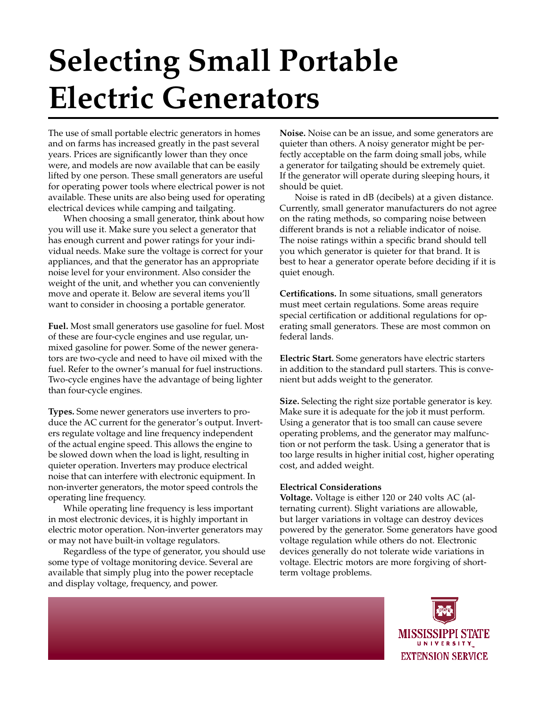## **Selecting Small Portable Electric Generators**

The use of small portable electric generators in homes and on farms has increased greatly in the past several years. Prices are significantly lower than they once were, and models are now available that can be easily lifted by one person. These small generators are useful for operating power tools where electrical power is not available. These units are also being used for operating electrical devices while camping and tailgating.

When choosing a small generator, think about how you will use it. Make sure you select a generator that has enough current and power ratings for your individual needs. Make sure the voltage is correct for your appliances, and that the generator has an appropriate noise level for your environment. Also consider the weight of the unit, and whether you can conveniently move and operate it. Below are several items you'll want to consider in choosing a portable generator.

**Fuel.** Most small generators use gasoline for fuel. Most of these are four-cycle engines and use regular, unmixed gasoline for power. Some of the newer generators are two-cycle and need to have oil mixed with the fuel. Refer to the owner's manual for fuel instructions. Two-cycle engines have the advantage of being lighter than four-cycle engines.

**Types.** Some newer generators use inverters to produce the AC current for the generator's output. Inverters regulate voltage and line frequency independent of the actual engine speed. This allows the engine to be slowed down when the load is light, resulting in quieter operation. Inverters may produce electrical noise that can interfere with electronic equipment. In non-inverter generators, the motor speed controls the operating line frequency.

While operating line frequency is less important in most electronic devices, it is highly important in electric motor operation. Non-inverter generators may or may not have built-in voltage regulators.

Regardless of the type of generator, you should use some type of voltage monitoring device. Several are available that simply plug into the power receptacle and display voltage, frequency, and power.

**Noise.** Noise can be an issue, and some generators are quieter than others. A noisy generator might be perfectly acceptable on the farm doing small jobs, while a generator for tailgating should be extremely quiet. If the generator will operate during sleeping hours, it should be quiet.

Noise is rated in dB (decibels) at a given distance. Currently, small generator manufacturers do not agree on the rating methods, so comparing noise between different brands is not a reliable indicator of noise. The noise ratings within a specific brand should tell you which generator is quieter for that brand. It is best to hear a generator operate before deciding if it is quiet enough.

**Certifications.** In some situations, small generators must meet certain regulations. Some areas require special certification or additional regulations for operating small generators. These are most common on federal lands.

**Electric Start.** Some generators have electric starters in addition to the standard pull starters. This is convenient but adds weight to the generator.

**Size.** Selecting the right size portable generator is key. Make sure it is adequate for the job it must perform. Using a generator that is too small can cause severe operating problems, and the generator may malfunction or not perform the task. Using a generator that is too large results in higher initial cost, higher operating cost, and added weight.

## **Electrical Considerations**

**Voltage.** Voltage is either 120 or 240 volts AC (alternating current). Slight variations are allowable, but larger variations in voltage can destroy devices powered by the generator. Some generators have good voltage regulation while others do not. Electronic devices generally do not tolerate wide variations in voltage. Electric motors are more forgiving of shortterm voltage problems.